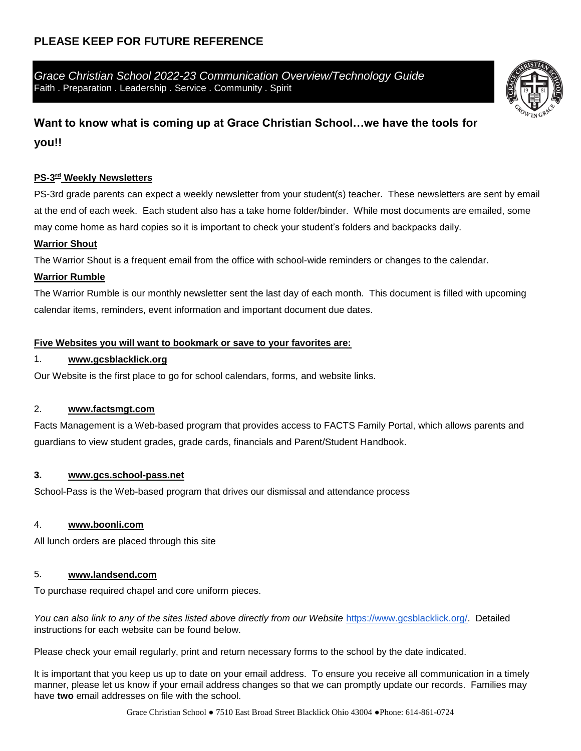## **PLEASE KEEP FOR FUTURE REFERENCE**

*Grace Christian School 2022-23 Communication Overview/Technology Guide* Faith . Preparation . Leadership . Service . Community . Spirit

# **Want to know what is coming up at Grace Christian School…we have the tools for**

## **you!!**

## **PS-3 rd Weekly Newsletters**

PS-3rd grade parents can expect a weekly newsletter from your student(s) teacher. These newsletters are sent by email at the end of each week. Each student also has a take home folder/binder. While most documents are emailed, some may come home as hard copies so it is important to check your student's folders and backpacks daily.

#### **Warrior Shout**

The Warrior Shout is a frequent email from the office with school-wide reminders or changes to the calendar.

#### **Warrior Rumble**

The Warrior Rumble is our monthly newsletter sent the last day of each month. This document is filled with upcoming calendar items, reminders, event information and important document due dates.

#### **Five Websites you will want to bookmark or save to your favorites are:**

#### 1. **[www.gcsblacklick.org](http://www.gcsblacklick.org/)**

Our Website is the first place to go for school calendars, forms, and website links.

## 2. **[www.factsmgt.com](http://www.factsmgt.com/)**

Facts Management is a Web-based program that provides access to FACTS Family Portal, which allows parents and guardians to view student grades, grade cards, financials and Parent/Student Handbook.

#### **3. [www.gcs.school-pass.net](http://www.gcs.school-pass.net/)**

School-Pass is the Web-based program that drives our dismissal and attendance process

## 4. **[www.boonli.com](http://www.boonli.com/)**

All lunch orders are placed through this site

## 5. **[www.landsend.com](http://www.landsend.com/)**

To purchase required chapel and core uniform pieces.

You can also link to any of the sites listed above directly from our Website [https://www.gcsblacklick.org/.](https://www.gcsblacklick.org/) Detailed instructions for each website can be found below.

Please check your email regularly, print and return necessary forms to the school by the date indicated.

It is important that you keep us up to date on your email address. To ensure you receive all communication in a timely manner, please let us know if your email address changes so that we can promptly update our records. Families may have **two** email addresses on file with the school.

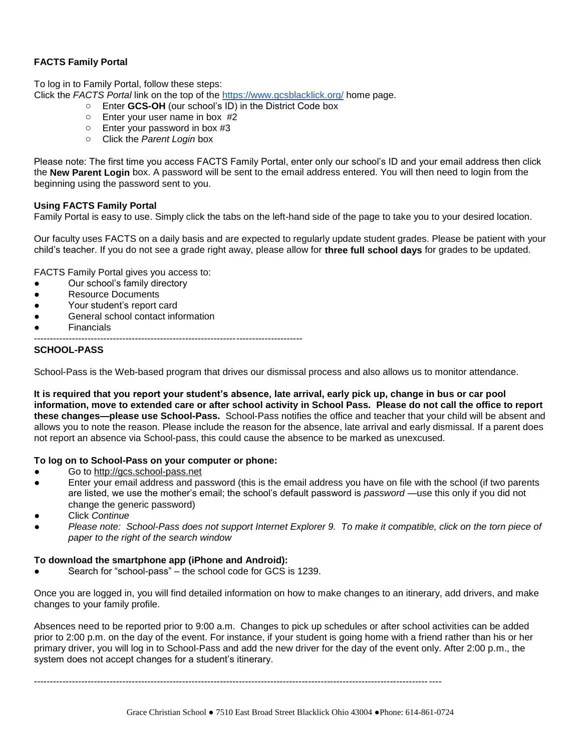#### **FACTS Family Portal**

To log in to Family Portal, follow these steps: Click the *FACTS Portal* link on the top of the<https://www.gcsblacklick.org/> home page.

- o Enter **GCS-OH** (our school's ID) in the District Code box
	- o Enter your user name in box #2
	- o Enter your password in box #3
	- o Click the *Parent Login* box

Please note: The first time you access FACTS Family Portal, enter only our school's ID and your email address then click the **New Parent Login** box. A password will be sent to the email address entered. You will then need to login from the beginning using the password sent to you.

#### **Using FACTS Family Portal**

Family Portal is easy to use. Simply click the tabs on the left-hand side of the page to take you to your desired location.

Our faculty uses FACTS on a daily basis and are expected to regularly update student grades. Please be patient with your child's teacher. If you do not see a grade right away, please allow for **three full school days** for grades to be updated.

FACTS Family Portal gives you access to:

- Our school's family directory
- Resource Documents
- Your student's report card
- General school contact information
- **Financials**
- -------------------------------------------------------------------------------------

#### **SCHOOL-PASS**

School-Pass is the Web-based program that drives our dismissal process and also allows us to monitor attendance.

**It is required that you report your student's absence, late arrival, early pick up, change in bus or car pool information, move to extended care or after school activity in School Pass. Please do not call the office to report these changes—please use School-Pass.** School-Pass notifies the office and teacher that your child will be absent and allows you to note the reason. Please include the reason for the absence, late arrival and early dismissal. If a parent does not report an absence via School-pass, this could cause the absence to be marked as unexcused.

#### **To log on to School-Pass on your computer or phone:**

- Go to [http://gcs.school-pass.net](http://gcs.school-pass.net/)
- Enter your email address and password (this is the email address you have on file with the school (if two parents are listed, we use the mother's email; the school's default password is *password* —use this only if you did not change the generic password)
- **Click Continue**
- Please note: School-Pass does not support Internet Explorer 9. To make it compatible, click on the torn piece of *paper to the right of the search window*

#### **To download the smartphone app (iPhone and Android):**

Search for "school-pass" – the school code for GCS is 1239.

Once you are logged in, you will find detailed information on how to make changes to an itinerary, add drivers, and make changes to your family profile.

Absences need to be reported prior to 9:00 a.m. Changes to pick up schedules or after school activities can be added prior to 2:00 p.m. on the day of the event. For instance, if your student is going home with a friend rather than his or her primary driver, you will log in to School-Pass and add the new driver for the day of the event only. After 2:00 p.m., the system does not accept changes for a student's itinerary.

---------------------------------------------------------------------------------------------------------------------------------